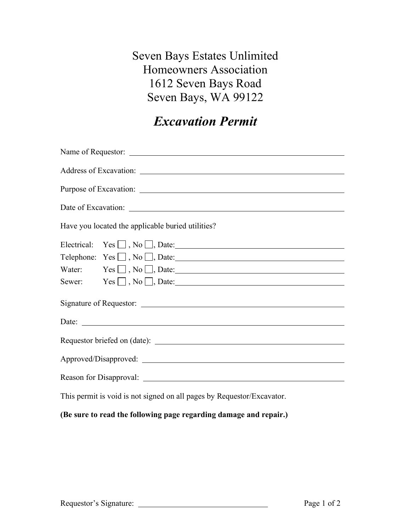Seven Bays Estates Unlimited Homeowners Association 1612 Seven Bays Road Seven Bays, WA 99122

## *Excavation Permit*

| Have you located the applicable buried utilities?                      |  |
|------------------------------------------------------------------------|--|
|                                                                        |  |
| Telephone: $Yes \square, No \square, Date:$                            |  |
| Water: $Yes \Box, No \Box, Date:$                                      |  |
| Sewer: $Yes \Box, No \Box, Date:$                                      |  |
|                                                                        |  |
|                                                                        |  |
|                                                                        |  |
| Approved/Disapproved: National Contract of Approved Disapproved:       |  |
|                                                                        |  |
| This permit is void is not signed on all pages by Requestor/Excavator. |  |

(Be sure to read the following page regarding damage and repair.)